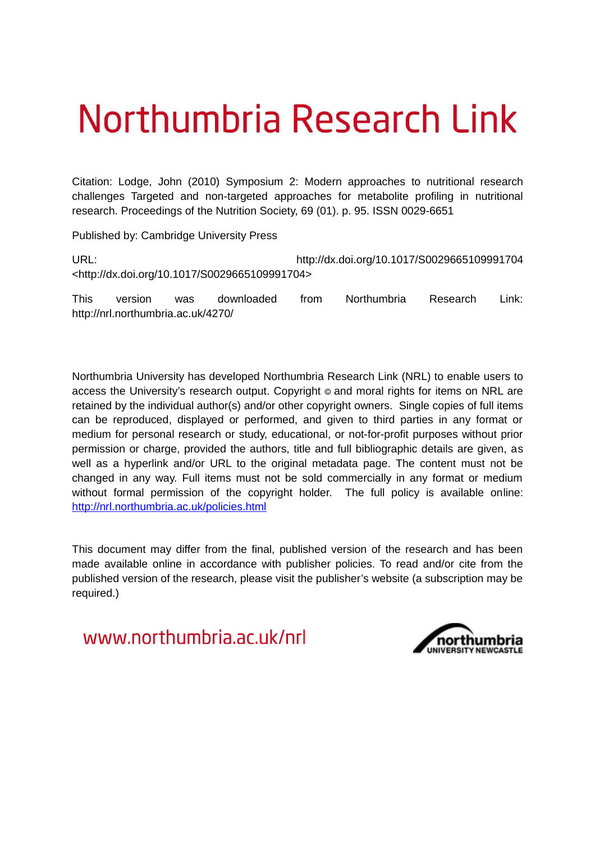# Northumbria Research Link

Citation: Lodge, John (2010) Symposium 2: Modern approaches to nutritional research challenges Targeted and non-targeted approaches for metabolite profiling in nutritional research. Proceedings of the Nutrition Society, 69 (01). p. 95. ISSN 0029-6651

Published by: Cambridge University Press

URL: http://dx.doi.org/10.1017/S0029665109991704 <http://dx.doi.org/10.1017/S0029665109991704>

This version was downloaded from Northumbria Research Link: http://nrl.northumbria.ac.uk/4270/

Northumbria University has developed Northumbria Research Link (NRL) to enable users to access the University's research output. Copyright  $\circ$  and moral rights for items on NRL are retained by the individual author(s) and/or other copyright owners. Single copies of full items can be reproduced, displayed or performed, and given to third parties in any format or medium for personal research or study, educational, or not-for-profit purposes without prior permission or charge, provided the authors, title and full bibliographic details are given, as well as a hyperlink and/or URL to the original metadata page. The content must not be changed in any way. Full items must not be sold commercially in any format or medium without formal permission of the copyright holder. The full policy is available online: <http://nrl.northumbria.ac.uk/policies.html>

This document may differ from the final, published version of the research and has been made available online in accordance with publisher policies. To read and/or cite from the published version of the research, please visit the publisher's website (a subscription may be required.)

www.northumbria.ac.uk/nrl

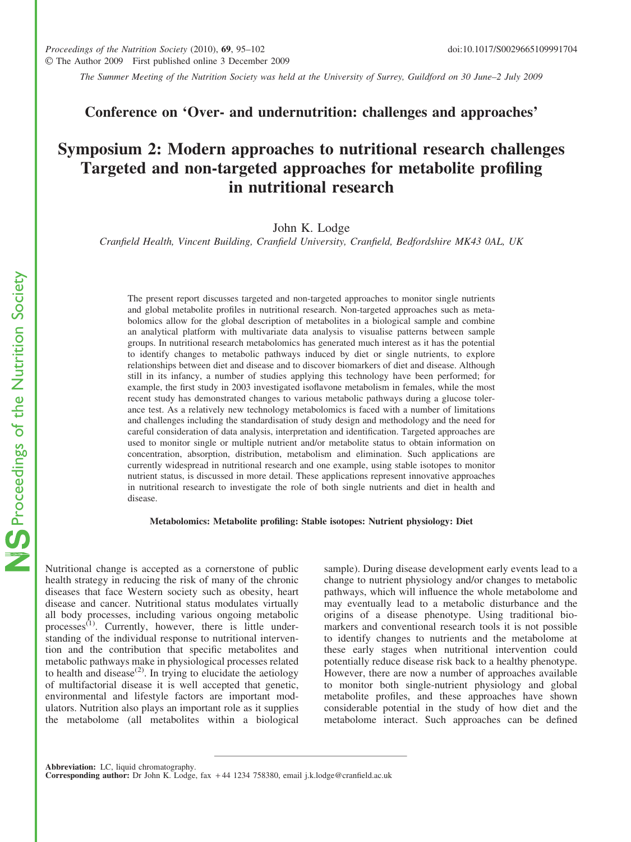The Summer Meeting of the Nutrition Society was held at the University of Surrey, Guildford on 30 June–2 July 2009

Conference on 'Over- and undernutrition: challenges and approaches'

# Symposium 2: Modern approaches to nutritional research challenges Targeted and non-targeted approaches for metabolite profiling in nutritional research

## John K. Lodge

Cranfield Health, Vincent Building, Cranfield University, Cranfield, Bedfordshire MK43 0AL, UK

The present report discusses targeted and non-targeted approaches to monitor single nutrients and global metabolite profiles in nutritional research. Non-targeted approaches such as metabolomics allow for the global description of metabolites in a biological sample and combine an analytical platform with multivariate data analysis to visualise patterns between sample groups. In nutritional research metabolomics has generated much interest as it has the potential to identify changes to metabolic pathways induced by diet or single nutrients, to explore relationships between diet and disease and to discover biomarkers of diet and disease. Although still in its infancy, a number of studies applying this technology have been performed; for example, the first study in 2003 investigated isoflavone metabolism in females, while the most recent study has demonstrated changes to various metabolic pathways during a glucose tolerance test. As a relatively new technology metabolomics is faced with a number of limitations and challenges including the standardisation of study design and methodology and the need for careful consideration of data analysis, interpretation and identification. Targeted approaches are used to monitor single or multiple nutrient and/or metabolite status to obtain information on concentration, absorption, distribution, metabolism and elimination. Such applications are currently widespread in nutritional research and one example, using stable isotopes to monitor nutrient status, is discussed in more detail. These applications represent innovative approaches in nutritional research to investigate the role of both single nutrients and diet in health and disease.

Metabolomics: Metabolite profiling: Stable isotopes: Nutrient physiology: Diet

Nutritional change is accepted as a cornerstone of public health strategy in reducing the risk of many of the chronic diseases that face Western society such as obesity, heart disease and cancer. Nutritional status modulates virtually all body processes, including various ongoing metabolic processes $^{(1)}$ . Currently, however, there is little understanding of the individual response to nutritional intervention and the contribution that specific metabolites and metabolic pathways make in physiological processes related to health and disease<sup>(2)</sup>. In trying to elucidate the aetiology of multifactorial disease it is well accepted that genetic, environmental and lifestyle factors are important modulators. Nutrition also plays an important role as it supplies the metabolome (all metabolites within a biological

sample). During disease development early events lead to a change to nutrient physiology and/or changes to metabolic pathways, which will influence the whole metabolome and may eventually lead to a metabolic disturbance and the origins of a disease phenotype. Using traditional biomarkers and conventional research tools it is not possible to identify changes to nutrients and the metabolome at these early stages when nutritional intervention could potentially reduce disease risk back to a healthy phenotype. However, there are now a number of approaches available to monitor both single-nutrient physiology and global metabolite profiles, and these approaches have shown considerable potential in the study of how diet and the metabolome interact. Such approaches can be defined

Abbreviation: LC, liquid chromatography. Corresponding author: Dr John K. Lodge, fax + 44 1234 758380, email j.k.lodge@cranfield.ac.uk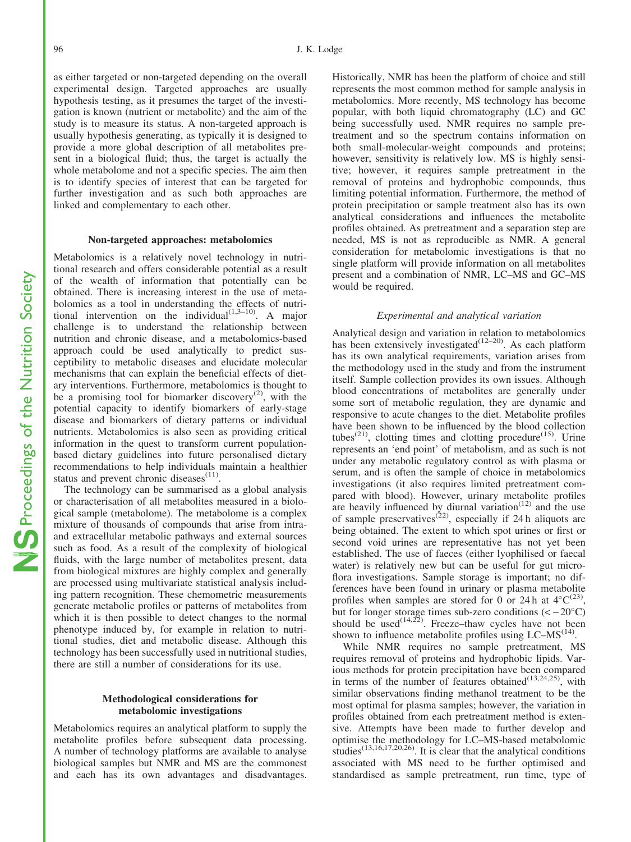as either targeted or non-targeted depending on the overall experimental design. Targeted approaches are usually hypothesis testing, as it presumes the target of the investigation is known (nutrient or metabolite) and the aim of the study is to measure its status. A non-targeted approach is usually hypothesis generating, as typically it is designed to provide a more global description of all metabolites present in a biological fluid; thus, the target is actually the whole metabolome and not a specific species. The aim then is to identify species of interest that can be targeted for further investigation and as such both approaches are linked and complementary to each other.

#### Non-targeted approaches: metabolomics

Metabolomics is a relatively novel technology in nutritional research and offers considerable potential as a result of the wealth of information that potentially can be obtained. There is increasing interest in the use of metabolomics as a tool in understanding the effects of nutritional intervention on the individual $(1,3-10)$ . A major challenge is to understand the relationship between nutrition and chronic disease, and a metabolomics-based approach could be used analytically to predict susceptibility to metabolic diseases and elucidate molecular mechanisms that can explain the beneficial effects of dietary interventions. Furthermore, metabolomics is thought to be a promising tool for biomarker discovery<sup>(2)</sup>, with the potential capacity to identify biomarkers of early-stage disease and biomarkers of dietary patterns or individual nutrients. Metabolomics is also seen as providing critical information in the quest to transform current populationbased dietary guidelines into future personalised dietary recommendations to help individuals maintain a healthier status and prevent chronic diseases $<sup>(11)</sup>$ .</sup>

The technology can be summarised as a global analysis or characterisation of all metabolites measured in a biological sample (metabolome). The metabolome is a complex mixture of thousands of compounds that arise from intraand extracellular metabolic pathways and external sources such as food. As a result of the complexity of biological fluids, with the large number of metabolites present, data from biological mixtures are highly complex and generally are processed using multivariate statistical analysis including pattern recognition. These chemometric measurements generate metabolic profiles or patterns of metabolites from which it is then possible to detect changes to the normal phenotype induced by, for example in relation to nutritional studies, diet and metabolic disease. Although this technology has been successfully used in nutritional studies, there are still a number of considerations for its use.

#### Methodological considerations for metabolomic investigations

Metabolomics requires an analytical platform to supply the metabolite profiles before subsequent data processing. A number of technology platforms are available to analyse biological samples but NMR and MS are the commonest and each has its own advantages and disadvantages.

Historically, NMR has been the platform of choice and still represents the most common method for sample analysis in metabolomics. More recently, MS technology has become popular, with both liquid chromatography (LC) and GC being successfully used. NMR requires no sample pretreatment and so the spectrum contains information on both small-molecular-weight compounds and proteins; however, sensitivity is relatively low. MS is highly sensitive; however, it requires sample pretreatment in the removal of proteins and hydrophobic compounds, thus limiting potential information. Furthermore, the method of protein precipitation or sample treatment also has its own analytical considerations and influences the metabolite profiles obtained. As pretreatment and a separation step are needed, MS is not as reproducible as NMR. A general consideration for metabolomic investigations is that no single platform will provide information on all metabolites present and a combination of NMR, LC–MS and GC–MS would be required.

#### Experimental and analytical variation

Analytical design and variation in relation to metabolomics has been extensively investigated<sup>(12–20)</sup>. As each platform has its own analytical requirements, variation arises from the methodology used in the study and from the instrument itself. Sample collection provides its own issues. Although blood concentrations of metabolites are generally under some sort of metabolic regulation, they are dynamic and responsive to acute changes to the diet. Metabolite profiles have been shown to be influenced by the blood collection tubes<sup> $(21)$ </sup>, clotting times and clotting procedure<sup> $(15)$ </sup>. Urine represents an 'end point' of metabolism, and as such is not under any metabolic regulatory control as with plasma or serum, and is often the sample of choice in metabolomics investigations (it also requires limited pretreatment compared with blood). However, urinary metabolite profiles are heavily influenced by diurnal variation $(12)$  and the use of sample preservatives<sup> $(22)$ </sup>, especially if 24 h aliquots are being obtained. The extent to which spot urines or first or second void urines are representative has not yet been established. The use of faeces (either lyophilised or faecal water) is relatively new but can be useful for gut microflora investigations. Sample storage is important; no differences have been found in urinary or plasma metabolite profiles when samples are stored for 0 or 24 h at  $4^{\circ}C^{(23)}$ , but for longer storage times sub-zero conditions  $(< -20^{\circ}C)$ should be used<sup>(14,22)</sup>. Freeze–thaw cycles have not been shown to influence metabolite profiles using  $LC-MS^{(14)}$ .

While NMR requires no sample pretreatment, MS requires removal of proteins and hydrophobic lipids. Various methods for protein precipitation have been compared in terms of the number of features obtained $(13,24,25)$ , with similar observations finding methanol treatment to be the most optimal for plasma samples; however, the variation in profiles obtained from each pretreatment method is extensive. Attempts have been made to further develop and optimise the methodology for LC–MS-based metabolomic studies<sup> $(13,16,17,20,26)$ </sup>. It is clear that the analytical conditions associated with MS need to be further optimised and standardised as sample pretreatment, run time, type of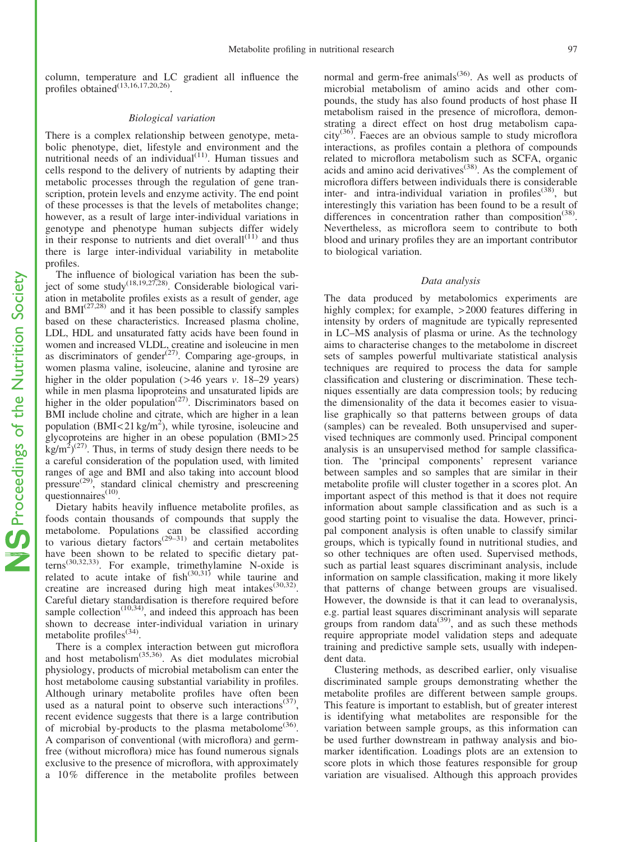column, temperature and LC gradient all influence the profiles obtained $^{(13,16,17,20,26)}$ .

### Biological variation

There is a complex relationship between genotype, metabolic phenotype, diet, lifestyle and environment and the nutritional needs of an individual $(11)$ . Human tissues and cells respond to the delivery of nutrients by adapting their metabolic processes through the regulation of gene transcription, protein levels and enzyme activity. The end point of these processes is that the levels of metabolites change; however, as a result of large inter-individual variations in genotype and phenotype human subjects differ widely in their response to nutrients and diet overall<sup> $(11)$ </sup> and thus there is large inter-individual variability in metabolite profiles.

The influence of biological variation has been the subject of some study<sup>(18,19,27,28)</sup>. Considerable biological variation in metabolite profiles exists as a result of gender, age and  $BMI^{(27,28)}$  and it has been possible to classify samples based on these characteristics. Increased plasma choline, LDL, HDL and unsaturated fatty acids have been found in women and increased VLDL, creatine and isoleucine in men as discriminators of gender<sup> $(27)$ </sup>. Comparing age-groups, in women plasma valine, isoleucine, alanine and tyrosine are higher in the older population  $($ >46 years v. 18–29 years) while in men plasma lipoproteins and unsaturated lipids are higher in the older population<sup>(27)</sup>. Discriminators based on BMI include choline and citrate, which are higher in a lean population (BMI<21 kg/m<sup>2</sup>), while tyrosine, isoleucine and glycoproteins are higher in an obese population (BMI>25  $\frac{\text{kg}}{\text{m}^2}$ <sup>(27)</sup>. Thus, in terms of study design there needs to be a careful consideration of the population used, with limited ranges of age and BMI and also taking into account blood pressure<sup>(29)</sup>, standard clinical chemistry and prescreening questionnaires<sup>(10)</sup>.

Dietary habits heavily influence metabolite profiles, as foods contain thousands of compounds that supply the metabolome. Populations can be classified according to various dietary factors<sup>(29–31)</sup> and certain metabolites have been shown to be related to specific dietary patterns(30,32,33). For example, trimethylamine N-oxide is related to acute intake of  $fish^{(30,31)}$  while taurine and creatine are increased during high meat intakes $^{(30,32)}$ . Careful dietary standardisation is therefore required before sample collection<sup> $(10,34)$ </sup>, and indeed this approach has been shown to decrease inter-individual variation in urinary metabolite profiles<sup>(34)</sup>.

There is a complex interaction between gut microflora and host metabolism $(35,36)$ . As diet modulates microbial physiology, products of microbial metabolism can enter the host metabolome causing substantial variability in profiles. Although urinary metabolite profiles have often been used as a natural point to observe such interactions<sup>(37)</sup>, recent evidence suggests that there is a large contribution of microbial by-products to the plasma metabolome<sup>(36)</sup>. A comparison of conventional (with microflora) and germfree (without microflora) mice has found numerous signals exclusive to the presence of microflora, with approximately a 10% difference in the metabolite profiles between

normal and germ-free animals $(36)$ . As well as products of microbial metabolism of amino acids and other compounds, the study has also found products of host phase II metabolism raised in the presence of microflora, demonstrating a direct effect on host drug metabolism capa $city^{(36)}$ . Faeces are an obvious sample to study microflora interactions, as profiles contain a plethora of compounds related to microflora metabolism such as SCFA, organic acids and amino acid derivatives<sup>(38)</sup>. As the complement of microflora differs between individuals there is considerable inter- and intra-individual variation in profiles<sup> $(38)$ </sup>, but interestingly this variation has been found to be a result of differences in concentration rather than composition<sup>(38)</sup>. Nevertheless, as microflora seem to contribute to both blood and urinary profiles they are an important contributor to biological variation.

#### Data analysis

The data produced by metabolomics experiments are highly complex; for example,  $>2000$  features differing in intensity by orders of magnitude are typically represented in LC–MS analysis of plasma or urine. As the technology aims to characterise changes to the metabolome in discreet sets of samples powerful multivariate statistical analysis techniques are required to process the data for sample classification and clustering or discrimination. These techniques essentially are data compression tools; by reducing the dimensionality of the data it becomes easier to visualise graphically so that patterns between groups of data (samples) can be revealed. Both unsupervised and supervised techniques are commonly used. Principal component analysis is an unsupervised method for sample classification. The 'principal components' represent variance between samples and so samples that are similar in their metabolite profile will cluster together in a scores plot. An important aspect of this method is that it does not require information about sample classification and as such is a good starting point to visualise the data. However, principal component analysis is often unable to classify similar groups, which is typically found in nutritional studies, and so other techniques are often used. Supervised methods, such as partial least squares discriminant analysis, include information on sample classification, making it more likely that patterns of change between groups are visualised. However, the downside is that it can lead to overanalysis, e.g. partial least squares discriminant analysis will separate groups from random data $^{(39)}$ , and as such these methods require appropriate model validation steps and adequate training and predictive sample sets, usually with independent data.

Clustering methods, as described earlier, only visualise discriminated sample groups demonstrating whether the metabolite profiles are different between sample groups. This feature is important to establish, but of greater interest is identifying what metabolites are responsible for the variation between sample groups, as this information can be used further downstream in pathway analysis and biomarker identification. Loadings plots are an extension to score plots in which those features responsible for group variation are visualised. Although this approach provides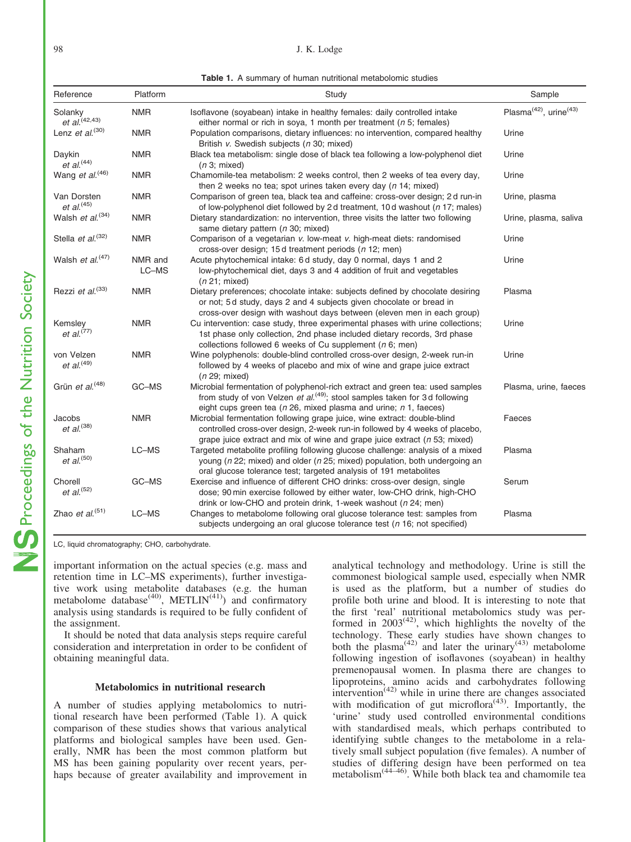#### 98 J. K. Lodge

| Table 1. A summary of human nutritional metabolomic studies |  |  |  |
|-------------------------------------------------------------|--|--|--|
|-------------------------------------------------------------|--|--|--|

| Reference                            | Platform         | Study                                                                                                                                                                                                                                    | Sample                                         |
|--------------------------------------|------------------|------------------------------------------------------------------------------------------------------------------------------------------------------------------------------------------------------------------------------------------|------------------------------------------------|
| Solanky<br>et al. <sup>(42,43)</sup> | <b>NMR</b>       | Isoflavone (soyabean) intake in healthy females: daily controlled intake<br>either normal or rich in soya, 1 month per treatment ( $n$ 5; females)                                                                                       | Plasma <sup>(42)</sup> , urine <sup>(43)</sup> |
| Lenz et $al.$ <sup>(30)</sup>        | <b>NMR</b>       | Population comparisons, dietary influences: no intervention, compared healthy<br>British v. Swedish subjects (n 30; mixed)                                                                                                               | Urine                                          |
| Daykin<br>et al. $(44)$              | <b>NMR</b>       | Black tea metabolism: single dose of black tea following a low-polyphenol diet<br>(n 3; mixed)                                                                                                                                           | Urine                                          |
| Wang et al. <sup>(46)</sup>          | <b>NMR</b>       | Chamomile-tea metabolism: 2 weeks control, then 2 weeks of tea every day,<br>then 2 weeks no tea; spot urines taken every day $(n 14; mixed)$                                                                                            | Urine                                          |
| Van Dorsten<br>et al. $(45)$         | <b>NMR</b>       | Comparison of green tea, black tea and caffeine: cross-over design; 2d run-in<br>of low-polyphenol diet followed by 2d treatment, 10d washout (n 17; males)                                                                              | Urine, plasma                                  |
| Walsh et al. <sup>(34)</sup>         | <b>NMR</b>       | Dietary standardization: no intervention, three visits the latter two following<br>same dietary pattern (n 30; mixed)                                                                                                                    | Urine, plasma, saliva                          |
| Stella et al. <sup>(32)</sup>        | <b>NMR</b>       | Comparison of a vegetarian v. low-meat v. high-meat diets: randomised<br>cross-over design; 15d treatment periods (n 12; men)                                                                                                            | Urine                                          |
| Walsh et al. <sup>(47)</sup>         | NMR and<br>LC-MS | Acute phytochemical intake: 6d study, day 0 normal, days 1 and 2<br>low-phytochemical diet, days 3 and 4 addition of fruit and vegetables<br>(n 21; mixed)                                                                               | Urine                                          |
| Rezzi et al. <sup>(33)</sup>         | <b>NMR</b>       | Dietary preferences; chocolate intake: subjects defined by chocolate desiring<br>or not; 5 d study, days 2 and 4 subjects given chocolate or bread in<br>cross-over design with washout days between (eleven men in each group)          | Plasma                                         |
| Kemsley<br>et al. <sup>(77)</sup>    | <b>NMR</b>       | Cu intervention: case study, three experimental phases with urine collections;<br>1st phase only collection, 2nd phase included dietary records, 3rd phase<br>collections followed 6 weeks of Cu supplement ( $n$ 6; men)                | Urine                                          |
| von Velzen<br>et al. $(49)$          | <b>NMR</b>       | Wine polyphenols: double-blind controlled cross-over design, 2-week run-in<br>followed by 4 weeks of placebo and mix of wine and grape juice extract<br>(n 29; mixed)                                                                    | Urine                                          |
| Grün et al. <sup>(48)</sup>          | GC-MS            | Microbial fermentation of polyphenol-rich extract and green tea: used samples<br>from study of von Velzen et $al^{(49)}$ ; stool samples taken for 3d following<br>eight cups green tea ( $n$ 26, mixed plasma and urine; $n$ 1, faeces) | Plasma, urine, faeces                          |
| Jacobs<br>et al. $^{(38)}$           | <b>NMR</b>       | Microbial fermentation following grape juice, wine extract: double-blind<br>controlled cross-over design, 2-week run-in followed by 4 weeks of placebo,<br>grape juice extract and mix of wine and grape juice extract ( $n$ 53; mixed)  | Faeces                                         |
| Shaham<br>$et$ al. $(50)$            | LC-MS            | Targeted metabolite profiling following glucose challenge: analysis of a mixed<br>young ( $n$ 22; mixed) and older ( $n$ 25; mixed) population, both undergoing an<br>oral glucose tolerance test; targeted analysis of 191 metabolites  | Plasma                                         |
| Chorell<br>et al. $(52)$             | GC-MS            | Exercise and influence of different CHO drinks: cross-over design, single<br>dose; 90 min exercise followed by either water, low-CHO drink, high-CHO<br>drink or low-CHO and protein drink, 1-week washout ( $n$ 24; men)                | Serum                                          |
| Zhao et $al^{(51)}$                  | LC-MS            | Changes to metabolome following oral glucose tolerance test: samples from<br>subjects undergoing an oral glucose tolerance test ( $n$ 16; not specified)                                                                                 | Plasma                                         |

LC, liquid chromatography; CHO, carbohydrate.

important information on the actual species (e.g. mass and retention time in LC–MS experiments), further investigative work using metabolite databases (e.g. the human metabolome database<sup>(40)</sup>, METLIN<sup>(41)</sup>) and confirmatory analysis using standards is required to be fully confident of the assignment.

It should be noted that data analysis steps require careful consideration and interpretation in order to be confident of obtaining meaningful data.

#### Metabolomics in nutritional research

A number of studies applying metabolomics to nutritional research have been performed (Table 1). A quick comparison of these studies shows that various analytical platforms and biological samples have been used. Generally, NMR has been the most common platform but MS has been gaining popularity over recent years, perhaps because of greater availability and improvement in analytical technology and methodology. Urine is still the commonest biological sample used, especially when NMR is used as the platform, but a number of studies do profile both urine and blood. It is interesting to note that the first 'real' nutritional metabolomics study was performed in  $2003^{(42)}$ , which highlights the novelty of the technology. These early studies have shown changes to both the plasma<sup>(42)</sup> and later the urinary<sup>(43)</sup> metabolome following ingestion of isoflavones (soyabean) in healthy premenopausal women. In plasma there are changes to lipoproteins, amino acids and carbohydrates following intervention<sup>(42)</sup> while in urine there are changes associated with modification of gut microflora<sup> $(43)$ </sup>. Importantly, the 'urine' study used controlled environmental conditions with standardised meals, which perhaps contributed to identifying subtle changes to the metabolome in a relatively small subject population (five females). A number of studies of differing design have been performed on tea metabolism<sup>(44–46)</sup>. While both black tea and chamomile tea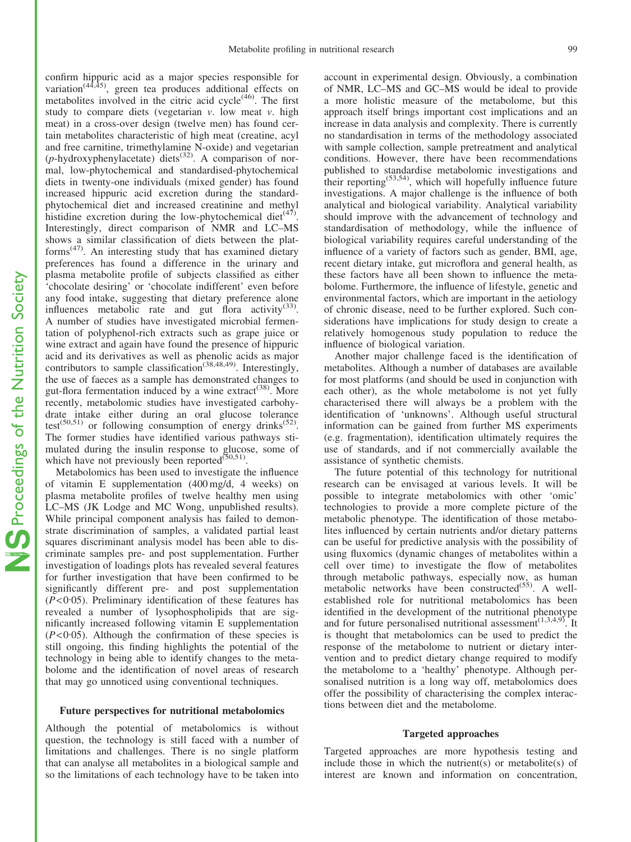confirm hippuric acid as a major species responsible for variation<sup> $(44,45)$ </sup>, green tea produces additional effects on metabolites involved in the citric acid cycle<sup> $(46)$ </sup>. The first study to compare diets (vegetarian  $v$ . low meat  $v$ . high meat) in a cross-over design (twelve men) has found certain metabolites characteristic of high meat (creatine, acyl and free carnitine, trimethylamine N-oxide) and vegetarian  $(p-hydroxyphenylacetate)$  diets<sup>(32)</sup>. A comparison of normal, low-phytochemical and standardised-phytochemical diets in twenty-one individuals (mixed gender) has found increased hippuric acid excretion during the standardphytochemical diet and increased creatinine and methyl histidine excretion during the low-phytochemical diet<sup>(47)</sup>. Interestingly, direct comparison of NMR and LC–MS shows a similar classification of diets between the platforms(47). An interesting study that has examined dietary preferences has found a difference in the urinary and plasma metabolite profile of subjects classified as either 'chocolate desiring' or 'chocolate indifferent' even before any food intake, suggesting that dietary preference alone influences metabolic rate and gut flora activity<sup>(33)</sup>. A number of studies have investigated microbial fermentation of polyphenol-rich extracts such as grape juice or wine extract and again have found the presence of hippuric acid and its derivatives as well as phenolic acids as major contributors to sample classification<sup> $(38,48,49)$ </sup>. Interestingly, the use of faeces as a sample has demonstrated changes to gut-flora fermentation induced by a wine extract<sup>(38)</sup>. More recently, metabolomic studies have investigated carbohydrate intake either during an oral glucose tolerance test<sup>(50,51)</sup> or following consumption of energy drinks<sup>(52)</sup>. The former studies have identified various pathways stimulated during the insulin response to glucose, some of which have not previously been reported $(50.51)$ .

Metabolomics has been used to investigate the influence of vitamin E supplementation (400 mg/d, 4 weeks) on plasma metabolite profiles of twelve healthy men using LC–MS (JK Lodge and MC Wong, unpublished results). While principal component analysis has failed to demonstrate discrimination of samples, a validated partial least squares discriminant analysis model has been able to discriminate samples pre- and post supplementation. Further investigation of loadings plots has revealed several features for further investigation that have been confirmed to be significantly different pre- and post supplementation  $(\overrightarrow{P}$ <0.05). Preliminary identification of these features has revealed a number of lysophospholipids that are significantly increased following vitamin E supplementation  $(P<0.05)$ . Although the confirmation of these species is still ongoing, this finding highlights the potential of the technology in being able to identify changes to the metabolome and the identification of novel areas of research that may go unnoticed using conventional techniques.

#### Future perspectives for nutritional metabolomics

Although the potential of metabolomics is without question, the technology is still faced with a number of limitations and challenges. There is no single platform that can analyse all metabolites in a biological sample and so the limitations of each technology have to be taken into

account in experimental design. Obviously, a combination of NMR, LC–MS and GC–MS would be ideal to provide a more holistic measure of the metabolome, but this approach itself brings important cost implications and an increase in data analysis and complexity. There is currently no standardisation in terms of the methodology associated with sample collection, sample pretreatment and analytical conditions. However, there have been recommendations published to standardise metabolomic investigations and their reporting<sup> $(53,54)$ </sup>, which will hopefully influence future investigations. A major challenge is the influence of both analytical and biological variability. Analytical variability should improve with the advancement of technology and standardisation of methodology, while the influence of biological variability requires careful understanding of the influence of a variety of factors such as gender, BMI, age, recent dietary intake, gut microflora and general health, as these factors have all been shown to influence the metabolome. Furthermore, the influence of lifestyle, genetic and environmental factors, which are important in the aetiology of chronic disease, need to be further explored. Such considerations have implications for study design to create a relatively homogenous study population to reduce the influence of biological variation.

Another major challenge faced is the identification of metabolites. Although a number of databases are available for most platforms (and should be used in conjunction with each other), as the whole metabolome is not yet fully characterised there will always be a problem with the identification of 'unknowns'. Although useful structural information can be gained from further MS experiments (e.g. fragmentation), identification ultimately requires the use of standards, and if not commercially available the assistance of synthetic chemists.

The future potential of this technology for nutritional research can be envisaged at various levels. It will be possible to integrate metabolomics with other 'omic' technologies to provide a more complete picture of the metabolic phenotype. The identification of those metabolites influenced by certain nutrients and/or dietary patterns can be useful for predictive analysis with the possibility of using fluxomics (dynamic changes of metabolites within a cell over time) to investigate the flow of metabolites through metabolic pathways, especially now, as human metabolic networks have been constructed<sup> $(55)$ </sup>. A wellestablished role for nutritional metabolomics has been identified in the development of the nutritional phenotype and for future personalised nutritional assessment<sup> $(1,3,4,9)$ </sup>. It is thought that metabolomics can be used to predict the response of the metabolome to nutrient or dietary intervention and to predict dietary change required to modify the metabolome to a 'healthy' phenotype. Although personalised nutrition is a long way off, metabolomics does offer the possibility of characterising the complex interactions between diet and the metabolome.

#### Targeted approaches

Targeted approaches are more hypothesis testing and include those in which the nutrient(s) or metabolite(s) of interest are known and information on concentration,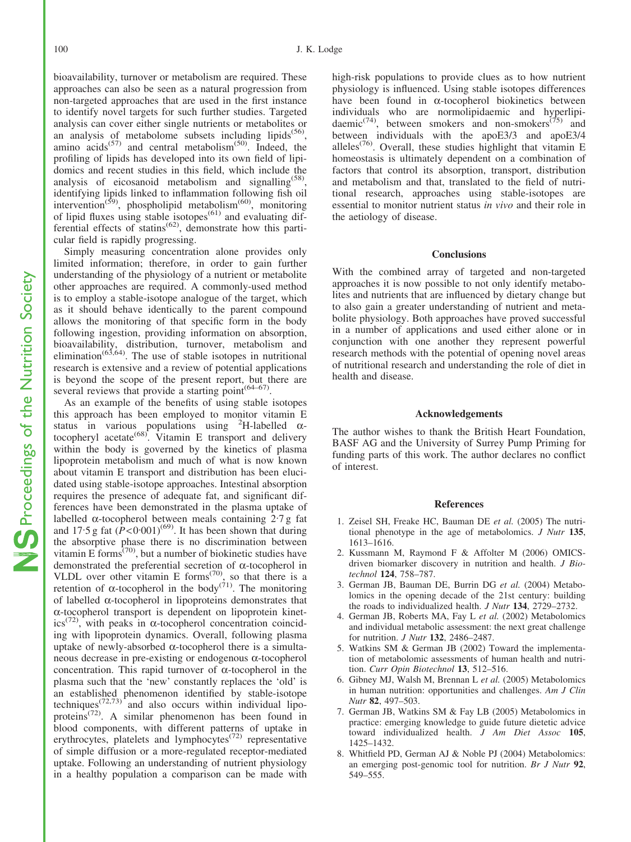Proceedings of the Nutrition Society

NS Proceedings of the Nutrition Society

bioavailability, turnover or metabolism are required. These approaches can also be seen as a natural progression from non-targeted approaches that are used in the first instance to identify novel targets for such further studies. Targeted analysis can cover either single nutrients or metabolites or an analysis of metabolome subsets including lipids<sup>(56)</sup>, amino  $\arccos(57)$  and central metabolism<sup>(50)</sup>. Indeed, the profiling of lipids has developed into its own field of lipidomics and recent studies in this field, which include the analysis of eicosanoid metabolism and signalling<sup>(58)</sup>, identifying lipids linked to inflammation following fish oil intervention<sup>(59)</sup>, phospholipid metabolism<sup>(60)</sup>, monitoring of lipid fluxes using stable isotopes<sup>(61)</sup> and evaluating differential effects of statins<sup> $(62)$ </sup>, demonstrate how this particular field is rapidly progressing.

Simply measuring concentration alone provides only limited information; therefore, in order to gain further understanding of the physiology of a nutrient or metabolite other approaches are required. A commonly-used method is to employ a stable-isotope analogue of the target, which as it should behave identically to the parent compound allows the monitoring of that specific form in the body following ingestion, providing information on absorption, bioavailability, distribution, turnover, metabolism and elimination<sup>(63,64)</sup>. The use of stable isotopes in nutritional research is extensive and a review of potential applications is beyond the scope of the present report, but there are several reviews that provide a starting  $\text{point}^{(64-67)}$ .

As an example of the benefits of using stable isotopes this approach has been employed to monitor vitamin E status in various populations using <sup>2</sup>H-labelled  $\alpha$ tocopheryl acetate<sup> $(68)$ </sup>. Vitamin E transport and delivery within the body is governed by the kinetics of plasma lipoprotein metabolism and much of what is now known about vitamin E transport and distribution has been elucidated using stable-isotope approaches. Intestinal absorption requires the presence of adequate fat, and significant differences have been demonstrated in the plasma uptake of labelled  $\alpha$ -tocopherol between meals containing  $2.7 g$  fat and 17.5 g fat  $(P<0.001)$ <sup>(69)</sup>. It has been shown that during the absorptive phase there is no discrimination between vitamin E forms<sup> $(70)$ </sup>, but a number of biokinetic studies have demonstrated the preferential secretion of a-tocopherol in VLDL over other vitamin E forms $(70)$ , so that there is a retention of  $\alpha$ -tocopherol in the body<sup>(71)</sup>. The monitoring of labelled  $\alpha$ -tocopherol in lipoproteins demonstrates that  $\alpha$ -tocopherol transport is dependent on lipoprotein kinetics<sup> $(72)$ </sup>, with peaks in  $\alpha$ -tocopherol concentration coinciding with lipoprotein dynamics. Overall, following plasma uptake of newly-absorbed  $\alpha$ -tocopherol there is a simultaneous decrease in pre-existing or endogenous  $\alpha$ -tocopherol concentration. This rapid turnover of  $\alpha$ -tocopherol in the plasma such that the 'new' constantly replaces the 'old' is an established phenomenon identified by stable-isotope techniques $(72,73)$  and also occurs within individual lipoproteins<sup>(72)</sup>. A similar phenomenon has been found in blood components, with different patterns of uptake in erythrocytes, platelets and lymphocytes<sup> $(72)$ </sup> representative of simple diffusion or a more-regulated receptor-mediated uptake. Following an understanding of nutrient physiology in a healthy population a comparison can be made with

high-risk populations to provide clues as to how nutrient physiology is influenced. Using stable isotopes differences have been found in  $\alpha$ -tocopherol biokinetics between individuals who are normolipidaemic and hyperlipidaemic<sup>(74)</sup>, between smokers and non-smokers<sup>(75)</sup> and between individuals with the apoE3/3 and apoE3/4 alleles<sup>(76)</sup>. Overall, these studies highlight that vitamin E homeostasis is ultimately dependent on a combination of factors that control its absorption, transport, distribution and metabolism and that, translated to the field of nutritional research, approaches using stable-isotopes are essential to monitor nutrient status in vivo and their role in the aetiology of disease.

#### **Conclusions**

With the combined array of targeted and non-targeted approaches it is now possible to not only identify metabolites and nutrients that are influenced by dietary change but to also gain a greater understanding of nutrient and metabolite physiology. Both approaches have proved successful in a number of applications and used either alone or in conjunction with one another they represent powerful research methods with the potential of opening novel areas of nutritional research and understanding the role of diet in health and disease.

#### Acknowledgements

The author wishes to thank the British Heart Foundation, BASF AG and the University of Surrey Pump Priming for funding parts of this work. The author declares no conflict of interest.

#### References

- 1. Zeisel SH, Freake HC, Bauman DE et al. (2005) The nutritional phenotype in the age of metabolomics. J Nutr 135, 1613–1616.
- 2. Kussmann M, Raymond F & Affolter M (2006) OMICSdriven biomarker discovery in nutrition and health. J Biotechnol 124, 758–787.
- 3. German JB, Bauman DE, Burrin DG et al. (2004) Metabolomics in the opening decade of the 21st century: building the roads to individualized health. J Nutr 134, 2729–2732.
- 4. German JB, Roberts MA, Fay L et al. (2002) Metabolomics and individual metabolic assessment: the next great challenge for nutrition. J Nutr 132, 2486–2487.
- 5. Watkins SM & German JB (2002) Toward the implementation of metabolomic assessments of human health and nutrition. Curr Opin Biotechnol 13, 512-516.
- 6. Gibney MJ, Walsh M, Brennan L et al. (2005) Metabolomics in human nutrition: opportunities and challenges. Am J Clin Nutr 82, 497–503.
- 7. German JB, Watkins SM & Fay LB (2005) Metabolomics in practice: emerging knowledge to guide future dietetic advice toward individualized health. J Am Diet Assoc 105, 1425–1432.
- 8. Whitfield PD, German AJ & Noble PJ (2004) Metabolomics: an emerging post-genomic tool for nutrition. Br J Nutr 92, 549–555.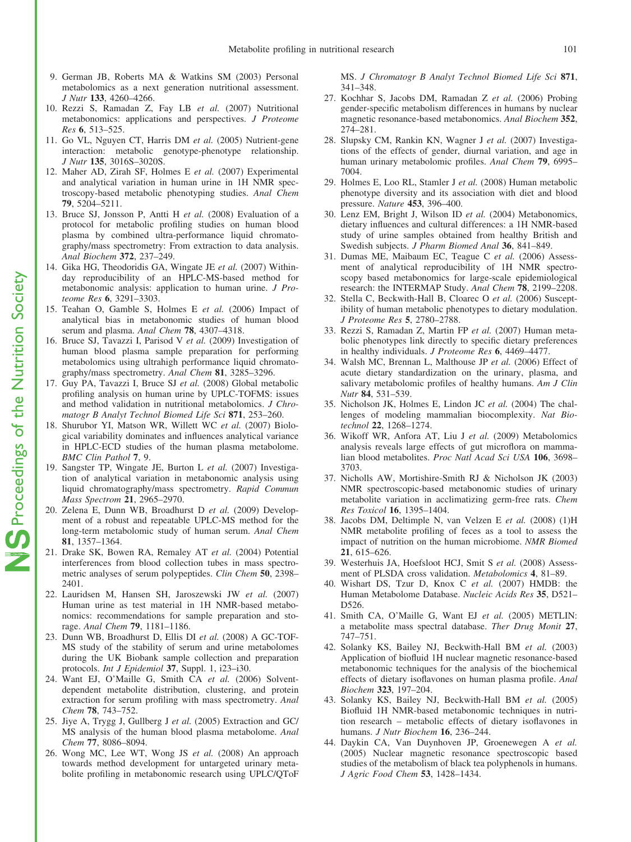- 9. German JB, Roberts MA & Watkins SM (2003) Personal metabolomics as a next generation nutritional assessment. J Nutr 133, 4260–4266.
- 10. Rezzi S, Ramadan Z, Fay LB et al. (2007) Nutritional metabonomics: applications and perspectives. J Proteome Res 6, 513–525.
- 11. Go VL, Nguyen CT, Harris DM et al. (2005) Nutrient-gene interaction: metabolic genotype-phenotype relationship. J Nutr 135, 3016S–3020S.
- 12. Maher AD, Zirah SF, Holmes E et al. (2007) Experimental and analytical variation in human urine in 1H NMR spectroscopy-based metabolic phenotyping studies. Anal Chem 79, 5204–5211.
- 13. Bruce SJ, Jonsson P, Antti H et al. (2008) Evaluation of a protocol for metabolic profiling studies on human blood plasma by combined ultra-performance liquid chromatography/mass spectrometry: From extraction to data analysis. Anal Biochem 372, 237–249.
- 14. Gika HG, Theodoridis GA, Wingate JE et al. (2007) Withinday reproducibility of an HPLC-MS-based method for metabonomic analysis: application to human urine. J Proteome Res 6, 3291–3303.
- 15. Teahan O, Gamble S, Holmes E et al. (2006) Impact of analytical bias in metabonomic studies of human blood serum and plasma. Anal Chem **78**, 4307-4318.
- 16. Bruce SJ, Tavazzi I, Parisod V et al. (2009) Investigation of human blood plasma sample preparation for performing metabolomics using ultrahigh performance liquid chromatography/mass spectrometry. Anal Chem 81, 3285–3296.
- 17. Guy PA, Tavazzi I, Bruce SJ et al. (2008) Global metabolic profiling analysis on human urine by UPLC-TOFMS: issues and method validation in nutritional metabolomics. J Chromatogr B Analyt Technol Biomed Life Sci 871, 253–260.
- 18. Shurubor YI, Matson WR, Willett WC et al. (2007) Biological variability dominates and influences analytical variance in HPLC-ECD studies of the human plasma metabolome. BMC Clin Pathol 7, 9.
- 19. Sangster TP, Wingate JE, Burton L et al. (2007) Investigation of analytical variation in metabonomic analysis using liquid chromatography/mass spectrometry. Rapid Commun Mass Spectrom 21, 2965–2970.
- 20. Zelena E, Dunn WB, Broadhurst D et al. (2009) Development of a robust and repeatable UPLC-MS method for the long-term metabolomic study of human serum. Anal Chem 81, 1357–1364.
- 21. Drake SK, Bowen RA, Remaley AT et al. (2004) Potential interferences from blood collection tubes in mass spectrometric analyses of serum polypeptides. Clin Chem 50, 2398-2401.
- 22. Lauridsen M, Hansen SH, Jaroszewski JW et al. (2007) Human urine as test material in 1H NMR-based metabonomics: recommendations for sample preparation and storage. Anal Chem 79, 1181–1186.
- 23. Dunn WB, Broadhurst D, Ellis DI et al. (2008) A GC-TOF-MS study of the stability of serum and urine metabolomes during the UK Biobank sample collection and preparation protocols. Int J Epidemiol 37, Suppl. 1, i23–i30.
- 24. Want EJ, O'Maille G, Smith CA et al. (2006) Solventdependent metabolite distribution, clustering, and protein extraction for serum profiling with mass spectrometry. Anal Chem 78, 743–752.
- 25. Jiye A, Trygg J, Gullberg J et al. (2005) Extraction and GC/ MS analysis of the human blood plasma metabolome. Anal Chem 77, 8086–8094.
- 26. Wong MC, Lee WT, Wong JS et al. (2008) An approach towards method development for untargeted urinary metabolite profiling in metabonomic research using UPLC/QToF

MS. J Chromatogr B Analyt Technol Biomed Life Sci 871, 341–348.

- 27. Kochhar S, Jacobs DM, Ramadan Z et al. (2006) Probing gender-specific metabolism differences in humans by nuclear magnetic resonance-based metabonomics. Anal Biochem 352, 274–281.
- 28. Slupsky CM, Rankin KN, Wagner J et al. (2007) Investigations of the effects of gender, diurnal variation, and age in human urinary metabolomic profiles. Anal Chem 79, 6995– 7004.
- 29. Holmes E, Loo RL, Stamler J et al. (2008) Human metabolic phenotype diversity and its association with diet and blood pressure. Nature 453, 396–400.
- 30. Lenz EM, Bright J, Wilson ID et al. (2004) Metabonomics, dietary influences and cultural differences: a 1H NMR-based study of urine samples obtained from healthy British and Swedish subjects. J Pharm Biomed Anal 36, 841–849.
- 31. Dumas ME, Maibaum EC, Teague C et al. (2006) Assessment of analytical reproducibility of 1H NMR spectroscopy based metabonomics for large-scale epidemiological research: the INTERMAP Study. Anal Chem 78, 2199–2208.
- 32. Stella C, Beckwith-Hall B, Cloarec O et al. (2006) Susceptibility of human metabolic phenotypes to dietary modulation. J Proteome Res 5, 2780–2788.
- 33. Rezzi S, Ramadan Z, Martin FP et al. (2007) Human metabolic phenotypes link directly to specific dietary preferences in healthy individuals. J Proteome Res 6, 4469–4477.
- 34. Walsh MC, Brennan L, Malthouse JP et al. (2006) Effect of acute dietary standardization on the urinary, plasma, and salivary metabolomic profiles of healthy humans. Am J Clin Nutr 84, 531–539.
- 35. Nicholson JK, Holmes E, Lindon JC et al. (2004) The challenges of modeling mammalian biocomplexity. Nat Biotechnol 22, 1268–1274.
- 36. Wikoff WR, Anfora AT, Liu J et al. (2009) Metabolomics analysis reveals large effects of gut microflora on mammalian blood metabolites. Proc Natl Acad Sci USA 106, 3698-3703.
- 37. Nicholls AW, Mortishire-Smith RJ & Nicholson JK (2003) NMR spectroscopic-based metabonomic studies of urinary metabolite variation in acclimatizing germ-free rats. Chem Res Toxicol 16, 1395–1404.
- 38. Jacobs DM, Deltimple N, van Velzen E et al. (2008) (1)H NMR metabolite profiling of feces as a tool to assess the impact of nutrition on the human microbiome. NMR Biomed 21, 615–626.
- 39. Westerhuis JA, Hoefsloot HCJ, Smit S et al. (2008) Assessment of PLSDA cross validation. Metabolomics 4, 81–89.
- 40. Wishart DS, Tzur D, Knox C et al. (2007) HMDB: the Human Metabolome Database. Nucleic Acids Res 35, D521– D526.
- 41. Smith CA, O'Maille G, Want EJ et al. (2005) METLIN: a metabolite mass spectral database. Ther Drug Monit 27, 747–751.
- 42. Solanky KS, Bailey NJ, Beckwith-Hall BM et al. (2003) Application of biofluid 1H nuclear magnetic resonance-based metabonomic techniques for the analysis of the biochemical effects of dietary isoflavones on human plasma profile. Anal Biochem 323, 197–204.
- 43. Solanky KS, Bailey NJ, Beckwith-Hall BM et al. (2005) Biofluid 1H NMR-based metabonomic techniques in nutrition research – metabolic effects of dietary isoflavones in humans. J Nutr Biochem 16, 236-244.
- 44. Daykin CA, Van Duynhoven JP, Groenewegen A et al. (2005) Nuclear magnetic resonance spectroscopic based studies of the metabolism of black tea polyphenols in humans. J Agric Food Chem 53, 1428–1434.